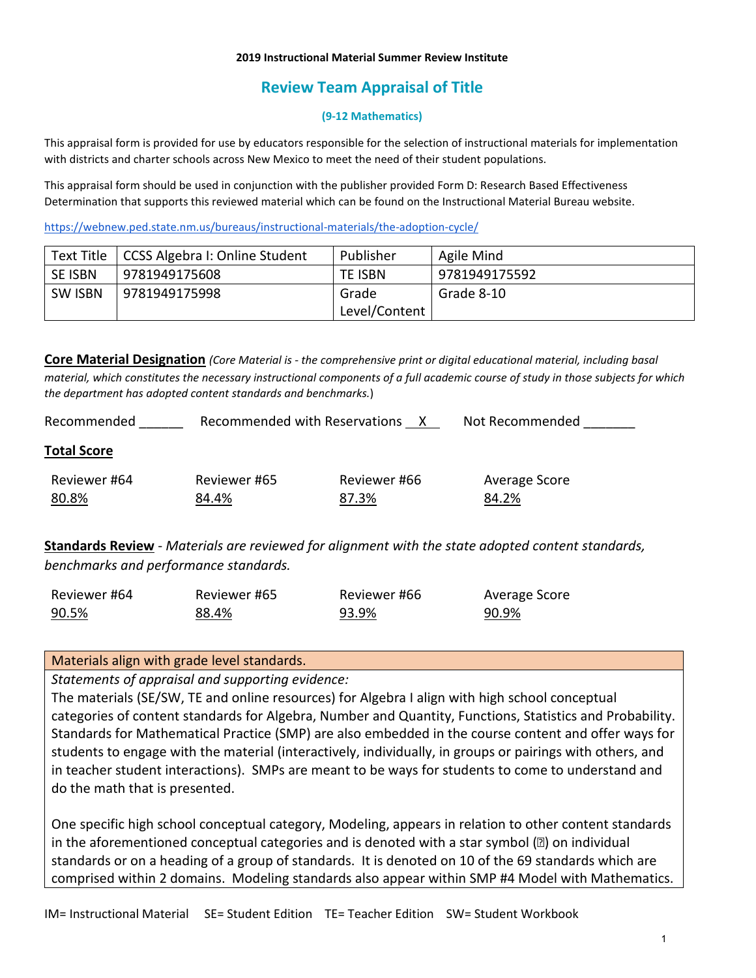### **2019 Instructional Material Summer Review Institute**

# **Review Team Appraisal of Title**

### **(9-12 Mathematics)**

This appraisal form is provided for use by educators responsible for the selection of instructional materials for implementation with districts and charter schools across New Mexico to meet the need of their student populations.

This appraisal form should be used in conjunction with the publisher provided Form D: Research Based Effectiveness Determination that supports this reviewed material which can be found on the Instructional Material Bureau website.

<https://webnew.ped.state.nm.us/bureaus/instructional-materials/the-adoption-cycle/>

| Text Title     | CCSS Algebra I: Online Student | Publisher      | Agile Mind    |
|----------------|--------------------------------|----------------|---------------|
| <b>SE ISBN</b> | 9781949175608                  | <b>TE ISBN</b> | 9781949175592 |
| <b>SW ISBN</b> | 9781949175998                  | Grade          | Grade 8-10    |
|                |                                | Level/Content  |               |

**Core Material Designation** *(Core Material is - the comprehensive print or digital educational material, including basal material, which constitutes the necessary instructional components of a full academic course of study in those subjects for which the department has adopted content standards and benchmarks.*)

| Recommended        | Recommended with Reservations |              | Not Recommended |
|--------------------|-------------------------------|--------------|-----------------|
| <b>Total Score</b> |                               |              |                 |
| Reviewer #64       | Reviewer #65                  | Reviewer #66 | Average Score   |
| 80.8%              | 84.4%                         | 87.3%        | 84.2%           |
|                    |                               |              |                 |

**Standards Review** - *Materials are reviewed for alignment with the state adopted content standards, benchmarks and performance standards.*

| Reviewer #64 | Reviewer #65 | Reviewer #66 | Average Score |
|--------------|--------------|--------------|---------------|
| 90.5%        | 88.4%        | 93.9%        | 90.9%         |

### Materials align with grade level standards.

*Statements of appraisal and supporting evidence:*

The materials (SE/SW, TE and online resources) for Algebra I align with high school conceptual categories of content standards for Algebra, Number and Quantity, Functions, Statistics and Probability. Standards for Mathematical Practice (SMP) are also embedded in the course content and offer ways for students to engage with the material (interactively, individually, in groups or pairings with others, and in teacher student interactions). SMPs are meant to be ways for students to come to understand and do the math that is presented.

One specific high school conceptual category, Modeling, appears in relation to other content standards in the aforementioned conceptual categories and is denoted with a star symbol ( $\mathbb{Z}$ ) on individual standards or on a heading of a group of standards. It is denoted on 10 of the 69 standards which are comprised within 2 domains. Modeling standards also appear within SMP #4 Model with Mathematics.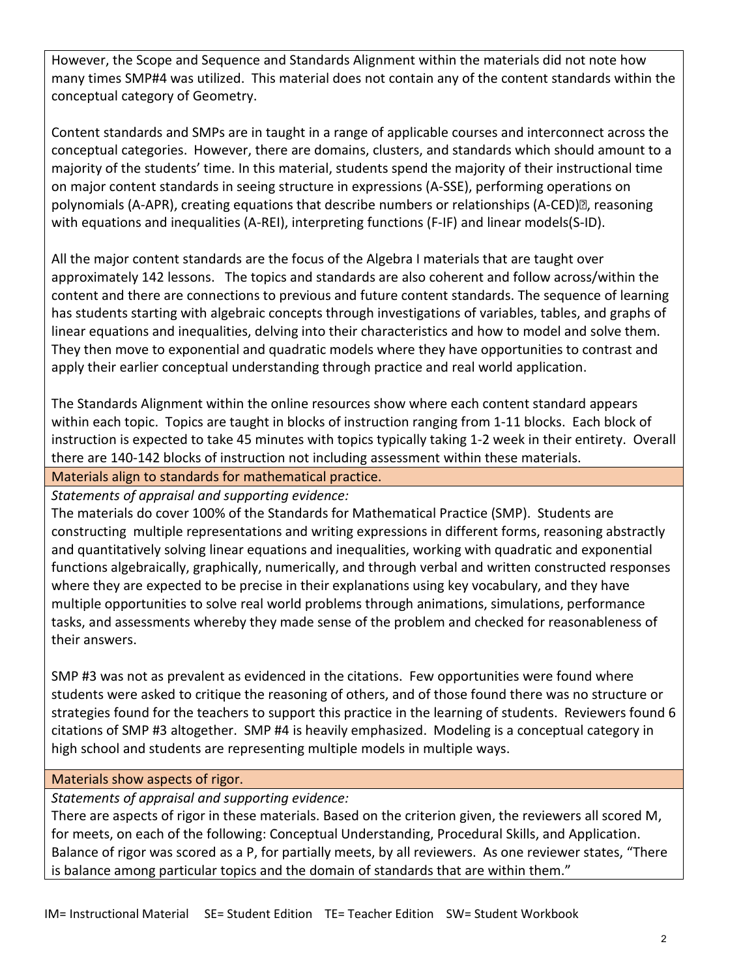However, the Scope and Sequence and Standards Alignment within the materials did not note how many times SMP#4 was utilized. This material does not contain any of the content standards within the conceptual category of Geometry.

Content standards and SMPs are in taught in a range of applicable courses and interconnect across the conceptual categories. However, there are domains, clusters, and standards which should amount to a majority of the students' time. In this material, students spend the majority of their instructional time on major content standards in seeing structure in expressions (A-SSE), performing operations on polynomials (A-APR), creating equations that describe numbers or relationships (A-CED)? reasoning with equations and inequalities (A-REI), interpreting functions (F-IF) and linear models(S-ID).

All the major content standards are the focus of the Algebra I materials that are taught over approximately 142 lessons. The topics and standards are also coherent and follow across/within the content and there are connections to previous and future content standards. The sequence of learning has students starting with algebraic concepts through investigations of variables, tables, and graphs of linear equations and inequalities, delving into their characteristics and how to model and solve them. They then move to exponential and quadratic models where they have opportunities to contrast and apply their earlier conceptual understanding through practice and real world application.

The Standards Alignment within the online resources show where each content standard appears within each topic. Topics are taught in blocks of instruction ranging from 1-11 blocks. Each block of instruction is expected to take 45 minutes with topics typically taking 1-2 week in their entirety. Overall there are 140-142 blocks of instruction not including assessment within these materials.

Materials align to standards for mathematical practice.

*Statements of appraisal and supporting evidence:*

The materials do cover 100% of the Standards for Mathematical Practice (SMP). Students are constructing multiple representations and writing expressions in different forms, reasoning abstractly and quantitatively solving linear equations and inequalities, working with quadratic and exponential functions algebraically, graphically, numerically, and through verbal and written constructed responses where they are expected to be precise in their explanations using key vocabulary, and they have multiple opportunities to solve real world problems through animations, simulations, performance tasks, and assessments whereby they made sense of the problem and checked for reasonableness of their answers.

SMP #3 was not as prevalent as evidenced in the citations. Few opportunities were found where students were asked to critique the reasoning of others, and of those found there was no structure or strategies found for the teachers to support this practice in the learning of students. Reviewers found 6 citations of SMP #3 altogether. SMP #4 is heavily emphasized. Modeling is a conceptual category in high school and students are representing multiple models in multiple ways.

### Materials show aspects of rigor.

*Statements of appraisal and supporting evidence:*

There are aspects of rigor in these materials. Based on the criterion given, the reviewers all scored M, for meets, on each of the following: Conceptual Understanding, Procedural Skills, and Application. Balance of rigor was scored as a P, for partially meets, by all reviewers. As one reviewer states, "There is balance among particular topics and the domain of standards that are within them."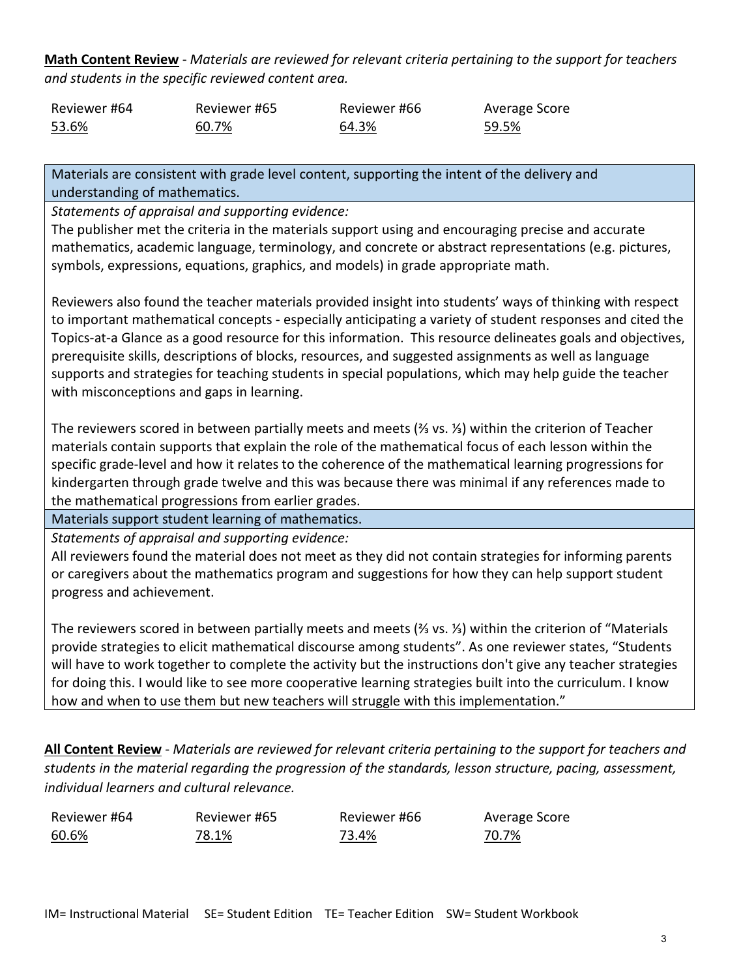**Math Content Review** - *Materials are reviewed for relevant criteria pertaining to the support for teachers and students in the specific reviewed content area.*

| Reviewer #64 | Reviewer #65 | Reviewer #66 | Average Score |
|--------------|--------------|--------------|---------------|
| 53.6%        | 60.7%        | 64.3%        | 59.5%         |

Materials are consistent with grade level content, supporting the intent of the delivery and understanding of mathematics.

*Statements of appraisal and supporting evidence:*

The publisher met the criteria in the materials support using and encouraging precise and accurate mathematics, academic language, terminology, and concrete or abstract representations (e.g. pictures, symbols, expressions, equations, graphics, and models) in grade appropriate math.

Reviewers also found the teacher materials provided insight into students' ways of thinking with respect to important mathematical concepts - especially anticipating a variety of student responses and cited the Topics-at-a Glance as a good resource for this information. This resource delineates goals and objectives, prerequisite skills, descriptions of blocks, resources, and suggested assignments as well as language supports and strategies for teaching students in special populations, which may help guide the teacher with misconceptions and gaps in learning.

The reviewers scored in between partially meets and meets (⅔ vs. ⅓) within the criterion of Teacher materials contain supports that explain the role of the mathematical focus of each lesson within the specific grade-level and how it relates to the coherence of the mathematical learning progressions for kindergarten through grade twelve and this was because there was minimal if any references made to the mathematical progressions from earlier grades.

Materials support student learning of mathematics.

*Statements of appraisal and supporting evidence:*

All reviewers found the material does not meet as they did not contain strategies for informing parents or caregivers about the mathematics program and suggestions for how they can help support student progress and achievement.

The reviewers scored in between partially meets and meets (⅔ vs. ⅓) within the criterion of "Materials provide strategies to elicit mathematical discourse among students". As one reviewer states, "Students will have to work together to complete the activity but the instructions don't give any teacher strategies for doing this. I would like to see more cooperative learning strategies built into the curriculum. I know how and when to use them but new teachers will struggle with this implementation."

**All Content Review** - *Materials are reviewed for relevant criteria pertaining to the support for teachers and students in the material regarding the progression of the standards, lesson structure, pacing, assessment, individual learners and cultural relevance.*

Reviewer #64 60.6%

Reviewer #65 78.1%

Reviewer #66 73.4%

Average Score 70.7%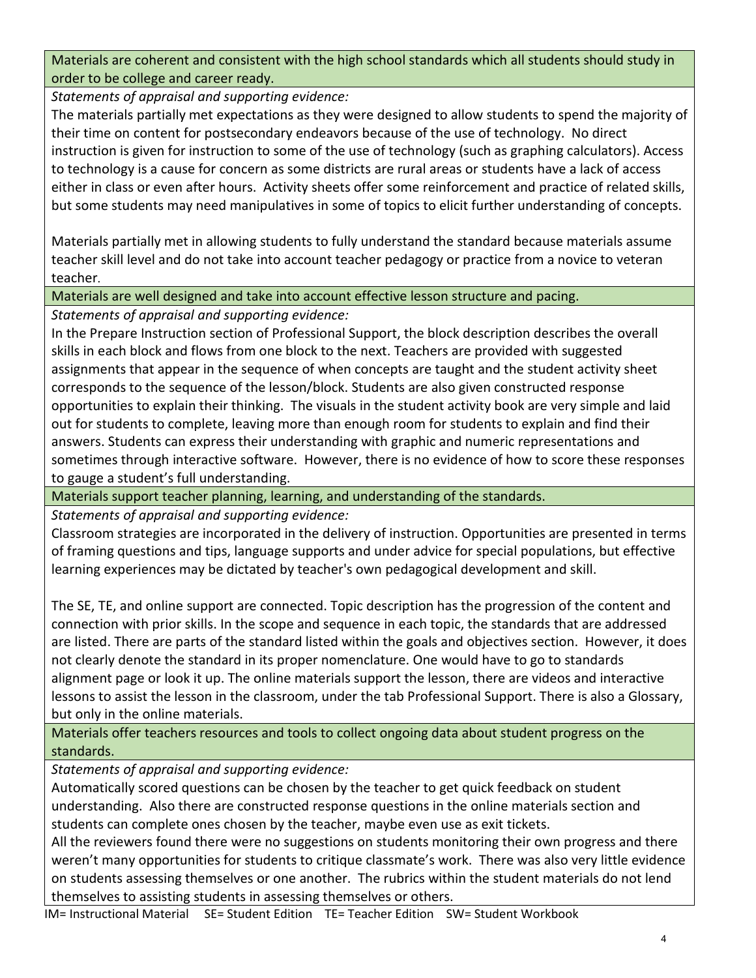Materials are coherent and consistent with the high school standards which all students should study in order to be college and career ready.

*Statements of appraisal and supporting evidence:*

The materials partially met expectations as they were designed to allow students to spend the majority of their time on content for postsecondary endeavors because of the use of technology. No direct instruction is given for instruction to some of the use of technology (such as graphing calculators). Access to technology is a cause for concern as some districts are rural areas or students have a lack of access either in class or even after hours. Activity sheets offer some reinforcement and practice of related skills, but some students may need manipulatives in some of topics to elicit further understanding of concepts.

Materials partially met in allowing students to fully understand the standard because materials assume teacher skill level and do not take into account teacher pedagogy or practice from a novice to veteran teacher.

Materials are well designed and take into account effective lesson structure and pacing.

*Statements of appraisal and supporting evidence:*

In the Prepare Instruction section of Professional Support, the block description describes the overall skills in each block and flows from one block to the next. Teachers are provided with suggested assignments that appear in the sequence of when concepts are taught and the student activity sheet corresponds to the sequence of the lesson/block. Students are also given constructed response opportunities to explain their thinking. The visuals in the student activity book are very simple and laid out for students to complete, leaving more than enough room for students to explain and find their answers. Students can express their understanding with graphic and numeric representations and sometimes through interactive software. However, there is no evidence of how to score these responses to gauge a student's full understanding.

Materials support teacher planning, learning, and understanding of the standards.

*Statements of appraisal and supporting evidence:*

Classroom strategies are incorporated in the delivery of instruction. Opportunities are presented in terms of framing questions and tips, language supports and under advice for special populations, but effective learning experiences may be dictated by teacher's own pedagogical development and skill.

The SE, TE, and online support are connected. Topic description has the progression of the content and connection with prior skills. In the scope and sequence in each topic, the standards that are addressed are listed. There are parts of the standard listed within the goals and objectives section. However, it does not clearly denote the standard in its proper nomenclature. One would have to go to standards alignment page or look it up. The online materials support the lesson, there are videos and interactive lessons to assist the lesson in the classroom, under the tab Professional Support. There is also a Glossary, but only in the online materials.

Materials offer teachers resources and tools to collect ongoing data about student progress on the standards.

*Statements of appraisal and supporting evidence:*

Automatically scored questions can be chosen by the teacher to get quick feedback on student understanding. Also there are constructed response questions in the online materials section and students can complete ones chosen by the teacher, maybe even use as exit tickets.

All the reviewers found there were no suggestions on students monitoring their own progress and there weren't many opportunities for students to critique classmate's work. There was also very little evidence on students assessing themselves or one another. The rubrics within the student materials do not lend themselves to assisting students in assessing themselves or others.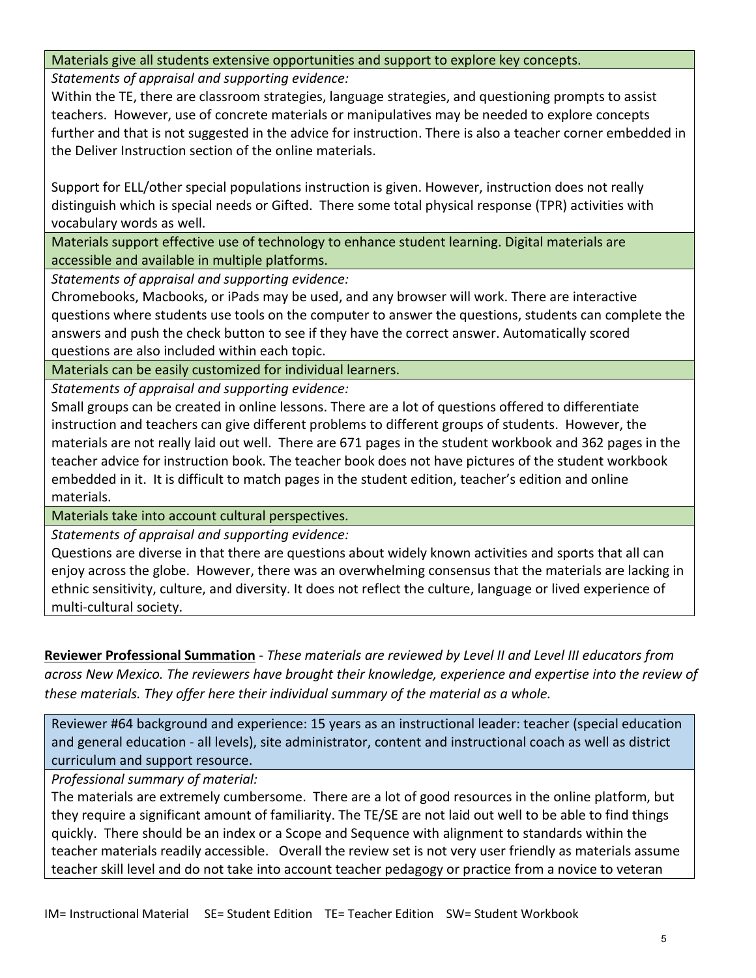### Materials give all students extensive opportunities and support to explore key concepts.

*Statements of appraisal and supporting evidence:*

Within the TE, there are classroom strategies, language strategies, and questioning prompts to assist teachers. However, use of concrete materials or manipulatives may be needed to explore concepts further and that is not suggested in the advice for instruction. There is also a teacher corner embedded in the Deliver Instruction section of the online materials.

Support for ELL/other special populations instruction is given. However, instruction does not really distinguish which is special needs or Gifted. There some total physical response (TPR) activities with vocabulary words as well.

Materials support effective use of technology to enhance student learning. Digital materials are accessible and available in multiple platforms.

*Statements of appraisal and supporting evidence:*

Chromebooks, Macbooks, or iPads may be used, and any browser will work. There are interactive questions where students use tools on the computer to answer the questions, students can complete the answers and push the check button to see if they have the correct answer. Automatically scored questions are also included within each topic.

Materials can be easily customized for individual learners.

*Statements of appraisal and supporting evidence:*

Small groups can be created in online lessons. There are a lot of questions offered to differentiate instruction and teachers can give different problems to different groups of students. However, the materials are not really laid out well. There are 671 pages in the student workbook and 362 pages in the teacher advice for instruction book. The teacher book does not have pictures of the student workbook embedded in it. It is difficult to match pages in the student edition, teacher's edition and online materials.

Materials take into account cultural perspectives.

*Statements of appraisal and supporting evidence:*

Questions are diverse in that there are questions about widely known activities and sports that all can enjoy across the globe. However, there was an overwhelming consensus that the materials are lacking in ethnic sensitivity, culture, and diversity. It does not reflect the culture, language or lived experience of multi-cultural society.

**Reviewer Professional Summation** - *These materials are reviewed by Level II and Level III educators from across New Mexico. The reviewers have brought their knowledge, experience and expertise into the review of these materials. They offer here their individual summary of the material as a whole.* 

Reviewer #64 background and experience: 15 years as an instructional leader: teacher (special education and general education - all levels), site administrator, content and instructional coach as well as district curriculum and support resource.

*Professional summary of material:*

The materials are extremely cumbersome. There are a lot of good resources in the online platform, but they require a significant amount of familiarity. The TE/SE are not laid out well to be able to find things quickly. There should be an index or a Scope and Sequence with alignment to standards within the teacher materials readily accessible. Overall the review set is not very user friendly as materials assume teacher skill level and do not take into account teacher pedagogy or practice from a novice to veteran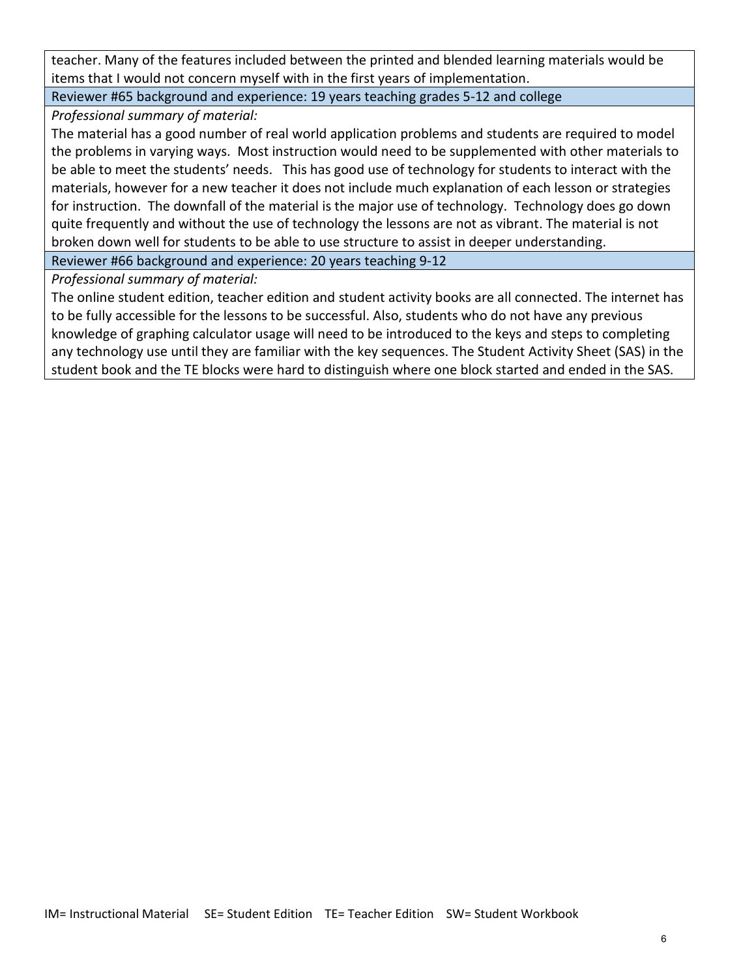teacher. Many of the features included between the printed and blended learning materials would be items that I would not concern myself with in the first years of implementation.

Reviewer #65 background and experience: 19 years teaching grades 5-12 and college

*Professional summary of material:*

The material has a good number of real world application problems and students are required to model the problems in varying ways. Most instruction would need to be supplemented with other materials to be able to meet the students' needs. This has good use of technology for students to interact with the materials, however for a new teacher it does not include much explanation of each lesson or strategies for instruction. The downfall of the material is the major use of technology. Technology does go down quite frequently and without the use of technology the lessons are not as vibrant. The material is not broken down well for students to be able to use structure to assist in deeper understanding.

Reviewer #66 background and experience: 20 years teaching 9-12

*Professional summary of material:*

The online student edition, teacher edition and student activity books are all connected. The internet has to be fully accessible for the lessons to be successful. Also, students who do not have any previous knowledge of graphing calculator usage will need to be introduced to the keys and steps to completing any technology use until they are familiar with the key sequences. The Student Activity Sheet (SAS) in the student book and the TE blocks were hard to distinguish where one block started and ended in the SAS.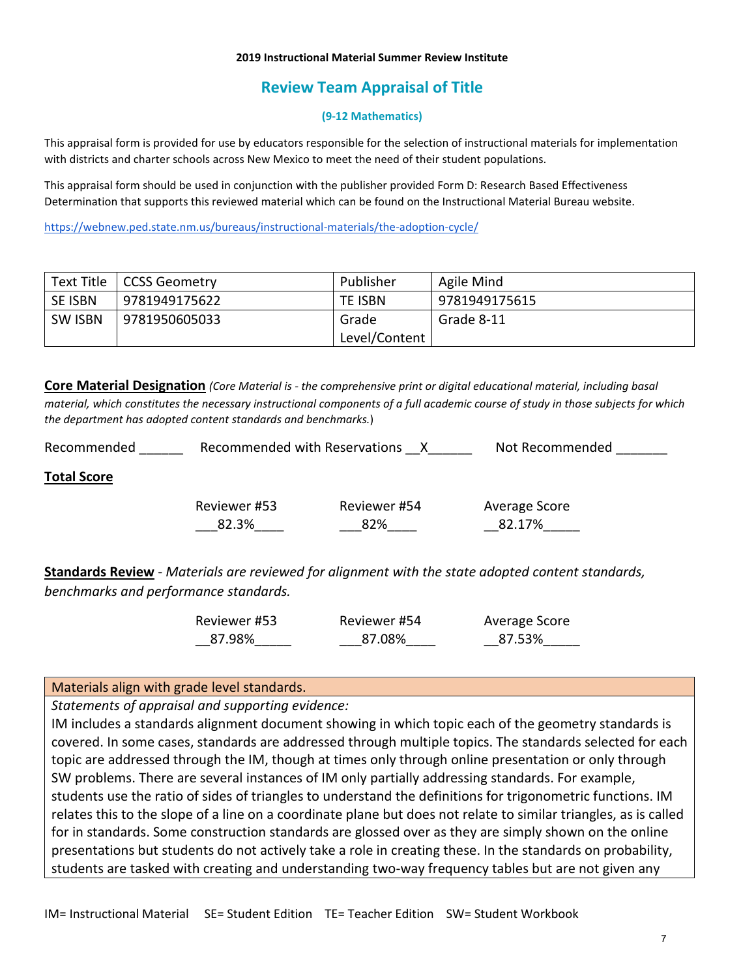#### **2019 Instructional Material Summer Review Institute**

## **Review Team Appraisal of Title**

#### **(9-12 Mathematics)**

This appraisal form is provided for use by educators responsible for the selection of instructional materials for implementation with districts and charter schools across New Mexico to meet the need of their student populations.

This appraisal form should be used in conjunction with the publisher provided Form D: Research Based Effectiveness Determination that supports this reviewed material which can be found on the Instructional Material Bureau website.

<https://webnew.ped.state.nm.us/bureaus/instructional-materials/the-adoption-cycle/>

| Text Title     | <b>CCSS Geometry</b> | Publisher     | Agile Mind    |
|----------------|----------------------|---------------|---------------|
| SE ISBN        | 9781949175622        | TE ISBN       | 9781949175615 |
| <b>SW ISBN</b> | 9781950605033        | Grade         | Grade 8-11    |
|                |                      | Level/Content |               |

**Core Material Designation** *(Core Material is - the comprehensive print or digital educational material, including basal material, which constitutes the necessary instructional components of a full academic course of study in those subjects for which the department has adopted content standards and benchmarks.*)

| Recommended        | Recommended with Reservations |                     | Not Recommended         |
|--------------------|-------------------------------|---------------------|-------------------------|
| <b>Total Score</b> |                               |                     |                         |
|                    | Reviewer #53<br>82.3%         | Reviewer #54<br>82% | Average Score<br>82.17% |

**Standards Review** - *Materials are reviewed for alignment with the state adopted content standards, benchmarks and performance standards.*

| Reviewer #53 | Reviewer #54 | Average Score |
|--------------|--------------|---------------|
| 87.98%       | 87.08%       | 87.53%        |

### Materials align with grade level standards.

*Statements of appraisal and supporting evidence:*

IM includes a standards alignment document showing in which topic each of the geometry standards is covered. In some cases, standards are addressed through multiple topics. The standards selected for each topic are addressed through the IM, though at times only through online presentation or only through SW problems. There are several instances of IM only partially addressing standards. For example, students use the ratio of sides of triangles to understand the definitions for trigonometric functions. IM relates this to the slope of a line on a coordinate plane but does not relate to similar triangles, as is called for in standards. Some construction standards are glossed over as they are simply shown on the online presentations but students do not actively take a role in creating these. In the standards on probability, students are tasked with creating and understanding two-way frequency tables but are not given any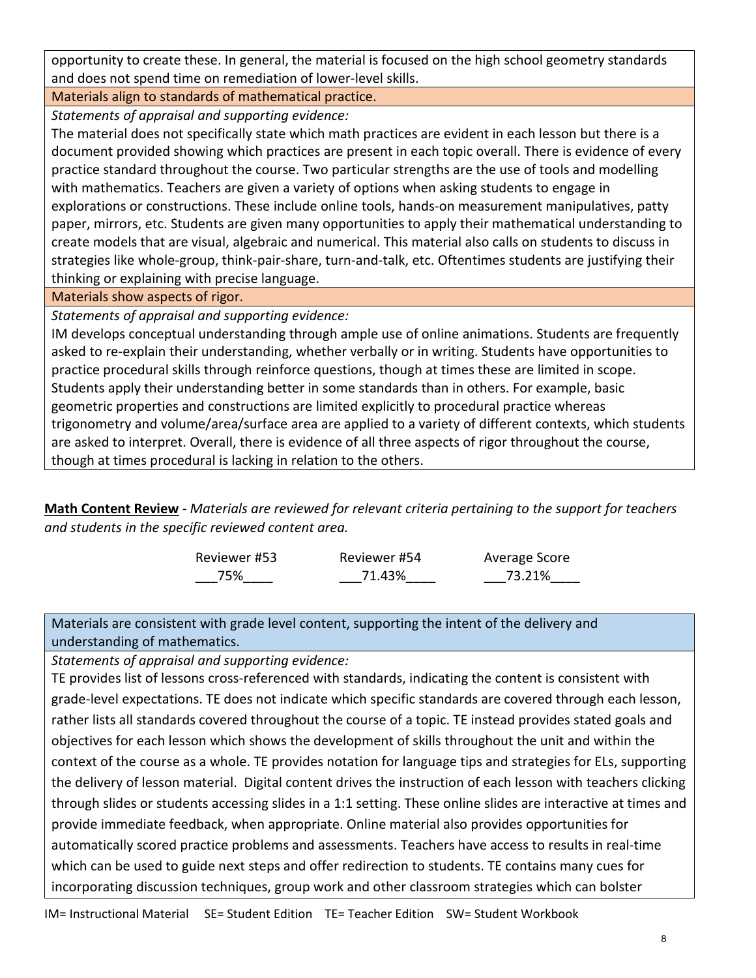opportunity to create these. In general, the material is focused on the high school geometry standards and does not spend time on remediation of lower-level skills.

Materials align to standards of mathematical practice. *Statements of appraisal and supporting evidence:*

The material does not specifically state which math practices are evident in each lesson but there is a document provided showing which practices are present in each topic overall. There is evidence of every practice standard throughout the course. Two particular strengths are the use of tools and modelling with mathematics. Teachers are given a variety of options when asking students to engage in explorations or constructions. These include online tools, hands-on measurement manipulatives, patty paper, mirrors, etc. Students are given many opportunities to apply their mathematical understanding to create models that are visual, algebraic and numerical. This material also calls on students to discuss in strategies like whole-group, think-pair-share, turn-and-talk, etc. Oftentimes students are justifying their thinking or explaining with precise language.

Materials show aspects of rigor.

*Statements of appraisal and supporting evidence:*

IM develops conceptual understanding through ample use of online animations. Students are frequently asked to re-explain their understanding, whether verbally or in writing. Students have opportunities to practice procedural skills through reinforce questions, though at times these are limited in scope. Students apply their understanding better in some standards than in others. For example, basic geometric properties and constructions are limited explicitly to procedural practice whereas trigonometry and volume/area/surface area are applied to a variety of different contexts, which students are asked to interpret. Overall, there is evidence of all three aspects of rigor throughout the course, though at times procedural is lacking in relation to the others.

**Math Content Review** - *Materials are reviewed for relevant criteria pertaining to the support for teachers and students in the specific reviewed content area.*

| Reviewer #53 | Reviewer #54 | Average Score |
|--------------|--------------|---------------|
| 75%          | 71.43%       | 73.21%        |

Materials are consistent with grade level content, supporting the intent of the delivery and understanding of mathematics.

*Statements of appraisal and supporting evidence:*

TE provides list of lessons cross-referenced with standards, indicating the content is consistent with grade-level expectations. TE does not indicate which specific standards are covered through each lesson, rather lists all standards covered throughout the course of a topic. TE instead provides stated goals and objectives for each lesson which shows the development of skills throughout the unit and within the context of the course as a whole. TE provides notation for language tips and strategies for ELs, supporting the delivery of lesson material. Digital content drives the instruction of each lesson with teachers clicking through slides or students accessing slides in a 1:1 setting. These online slides are interactive at times and provide immediate feedback, when appropriate. Online material also provides opportunities for automatically scored practice problems and assessments. Teachers have access to results in real-time which can be used to guide next steps and offer redirection to students. TE contains many cues for incorporating discussion techniques, group work and other classroom strategies which can bolster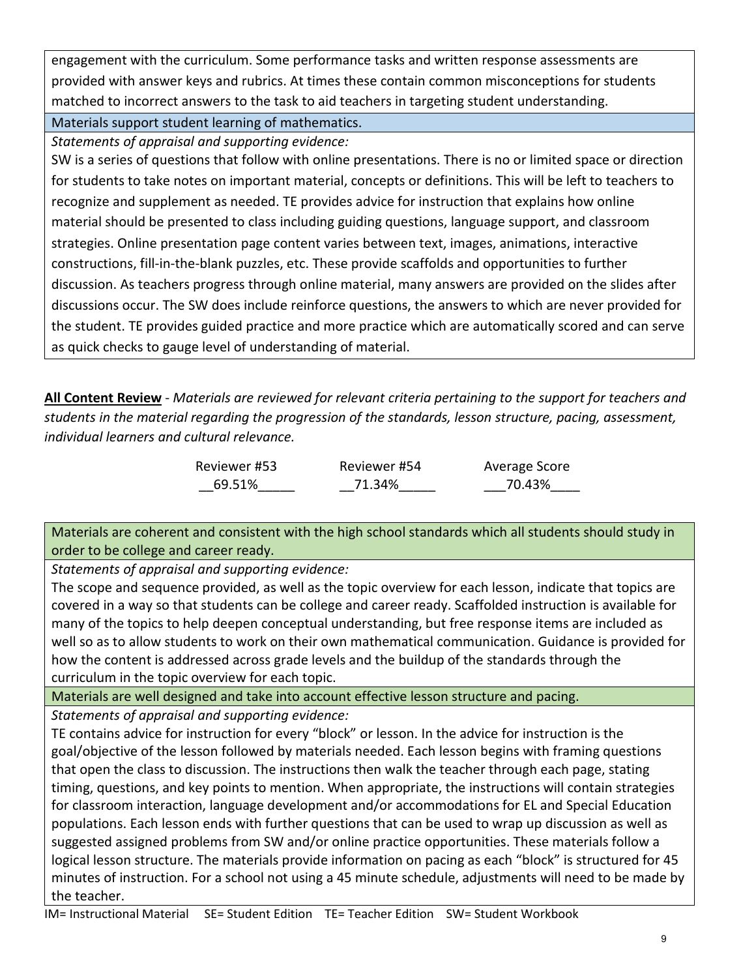engagement with the curriculum. Some performance tasks and written response assessments are provided with answer keys and rubrics. At times these contain common misconceptions for students matched to incorrect answers to the task to aid teachers in targeting student understanding.

Materials support student learning of mathematics.

*Statements of appraisal and supporting evidence:*

SW is a series of questions that follow with online presentations. There is no or limited space or direction for students to take notes on important material, concepts or definitions. This will be left to teachers to recognize and supplement as needed. TE provides advice for instruction that explains how online material should be presented to class including guiding questions, language support, and classroom strategies. Online presentation page content varies between text, images, animations, interactive constructions, fill-in-the-blank puzzles, etc. These provide scaffolds and opportunities to further discussion. As teachers progress through online material, many answers are provided on the slides after discussions occur. The SW does include reinforce questions, the answers to which are never provided for the student. TE provides guided practice and more practice which are automatically scored and can serve as quick checks to gauge level of understanding of material.

**All Content Review** - *Materials are reviewed for relevant criteria pertaining to the support for teachers and students in the material regarding the progression of the standards, lesson structure, pacing, assessment, individual learners and cultural relevance.*

> Reviewer #53 \_\_69.51%\_\_\_\_\_

Reviewer #54 \_\_71.34%\_\_\_\_\_ Average Score \_\_\_70.43%\_\_\_\_

Materials are coherent and consistent with the high school standards which all students should study in order to be college and career ready.

*Statements of appraisal and supporting evidence:*

The scope and sequence provided, as well as the topic overview for each lesson, indicate that topics are covered in a way so that students can be college and career ready. Scaffolded instruction is available for many of the topics to help deepen conceptual understanding, but free response items are included as well so as to allow students to work on their own mathematical communication. Guidance is provided for how the content is addressed across grade levels and the buildup of the standards through the curriculum in the topic overview for each topic.

Materials are well designed and take into account effective lesson structure and pacing.

*Statements of appraisal and supporting evidence:*

TE contains advice for instruction for every "block" or lesson. In the advice for instruction is the goal/objective of the lesson followed by materials needed. Each lesson begins with framing questions that open the class to discussion. The instructions then walk the teacher through each page, stating timing, questions, and key points to mention. When appropriate, the instructions will contain strategies for classroom interaction, language development and/or accommodations for EL and Special Education populations. Each lesson ends with further questions that can be used to wrap up discussion as well as suggested assigned problems from SW and/or online practice opportunities. These materials follow a logical lesson structure. The materials provide information on pacing as each "block" is structured for 45 minutes of instruction. For a school not using a 45 minute schedule, adjustments will need to be made by the teacher.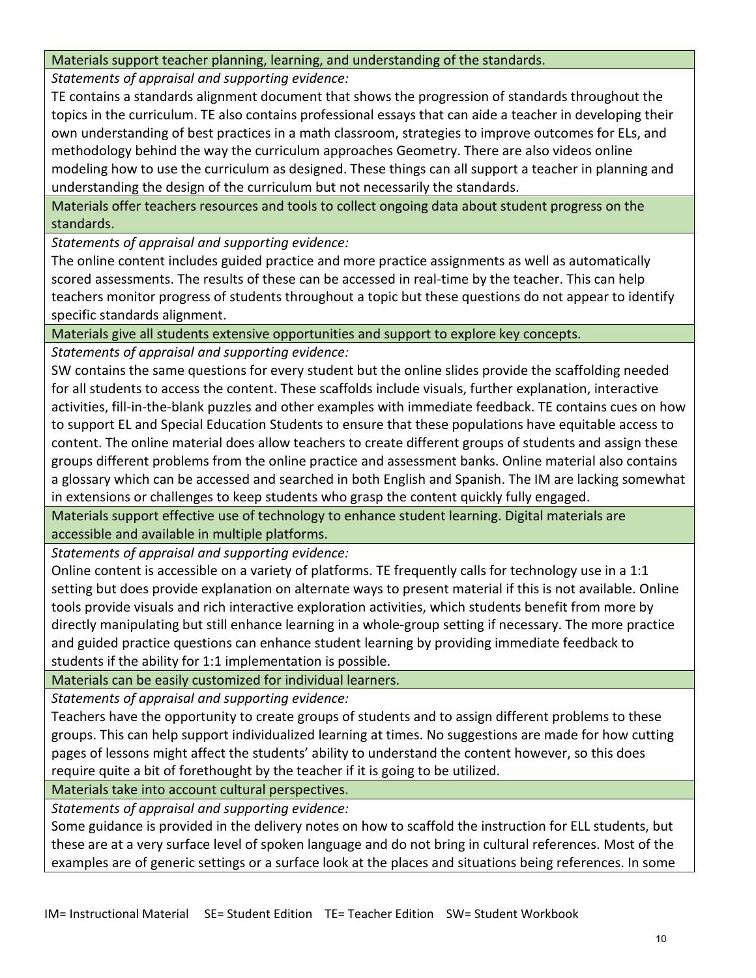## Materials support teacher planning, learning, and understanding of the standards.

*Statements of appraisal and supporting evidence:*

TE contains a standards alignment document that shows the progression of standards throughout the topics in the curriculum. TE also contains professional essays that can aide a teacher in developing their own understanding of best practices in a math classroom, strategies to improve outcomes for ELs, and methodology behind the way the curriculum approaches Geometry. There are also videos online modeling how to use the curriculum as designed. These things can all support a teacher in planning and understanding the design of the curriculum but not necessarily the standards.

Materials offer teachers resources and tools to collect ongoing data about student progress on the standards.

*Statements of appraisal and supporting evidence:*

The online content includes guided practice and more practice assignments as well as automatically scored assessments. The results of these can be accessed in real-time by the teacher. This can help teachers monitor progress of students throughout a topic but these questions do not appear to identify specific standards alignment.

Materials give all students extensive opportunities and support to explore key concepts.

*Statements of appraisal and supporting evidence:*

SW contains the same questions for every student but the online slides provide the scaffolding needed for all students to access the content. These scaffolds include visuals, further explanation, interactive activities, fill-in-the-blank puzzles and other examples with immediate feedback. TE contains cues on how to support EL and Special Education Students to ensure that these populations have equitable access to content. The online material does allow teachers to create different groups of students and assign these groups different problems from the online practice and assessment banks. Online material also contains a glossary which can be accessed and searched in both English and Spanish. The IM are lacking somewhat in extensions or challenges to keep students who grasp the content quickly fully engaged.

Materials support effective use of technology to enhance student learning. Digital materials are accessible and available in multiple platforms.

*Statements of appraisal and supporting evidence:*

Online content is accessible on a variety of platforms. TE frequently calls for technology use in a 1:1 setting but does provide explanation on alternate ways to present material if this is not available. Online tools provide visuals and rich interactive exploration activities, which students benefit from more by directly manipulating but still enhance learning in a whole-group setting if necessary. The more practice and guided practice questions can enhance student learning by providing immediate feedback to students if the ability for 1:1 implementation is possible.

Materials can be easily customized for individual learners.

*Statements of appraisal and supporting evidence:*

Teachers have the opportunity to create groups of students and to assign different problems to these groups. This can help support individualized learning at times. No suggestions are made for how cutting pages of lessons might affect the students' ability to understand the content however, so this does require quite a bit of forethought by the teacher if it is going to be utilized.

Materials take into account cultural perspectives.

*Statements of appraisal and supporting evidence:*

Some guidance is provided in the delivery notes on how to scaffold the instruction for ELL students, but these are at a very surface level of spoken language and do not bring in cultural references. Most of the examples are of generic settings or a surface look at the places and situations being references. In some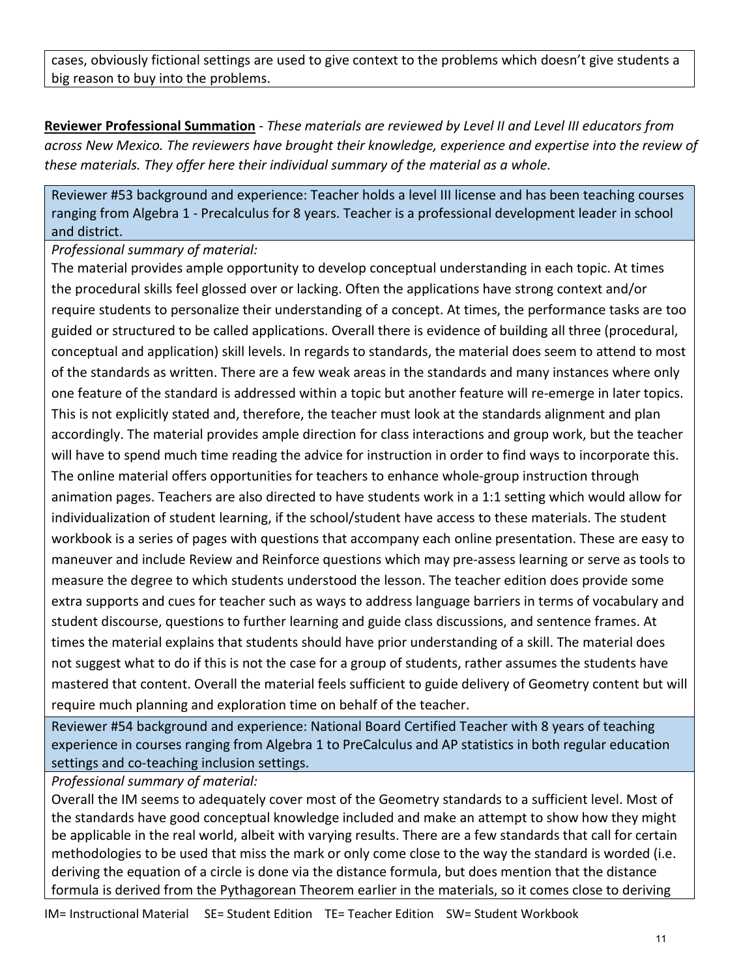cases, obviously fictional settings are used to give context to the problems which doesn't give students a big reason to buy into the problems.

**Reviewer Professional Summation** - *These materials are reviewed by Level II and Level III educators from across New Mexico. The reviewers have brought their knowledge, experience and expertise into the review of these materials. They offer here their individual summary of the material as a whole.* 

Reviewer #53 background and experience: Teacher holds a level III license and has been teaching courses ranging from Algebra 1 - Precalculus for 8 years. Teacher is a professional development leader in school and district.

*Professional summary of material:*

The material provides ample opportunity to develop conceptual understanding in each topic. At times the procedural skills feel glossed over or lacking. Often the applications have strong context and/or require students to personalize their understanding of a concept. At times, the performance tasks are too guided or structured to be called applications. Overall there is evidence of building all three (procedural, conceptual and application) skill levels. In regards to standards, the material does seem to attend to most of the standards as written. There are a few weak areas in the standards and many instances where only one feature of the standard is addressed within a topic but another feature will re-emerge in later topics. This is not explicitly stated and, therefore, the teacher must look at the standards alignment and plan accordingly. The material provides ample direction for class interactions and group work, but the teacher will have to spend much time reading the advice for instruction in order to find ways to incorporate this. The online material offers opportunities for teachers to enhance whole-group instruction through animation pages. Teachers are also directed to have students work in a 1:1 setting which would allow for individualization of student learning, if the school/student have access to these materials. The student workbook is a series of pages with questions that accompany each online presentation. These are easy to maneuver and include Review and Reinforce questions which may pre-assess learning or serve as tools to measure the degree to which students understood the lesson. The teacher edition does provide some extra supports and cues for teacher such as ways to address language barriers in terms of vocabulary and student discourse, questions to further learning and guide class discussions, and sentence frames. At times the material explains that students should have prior understanding of a skill. The material does not suggest what to do if this is not the case for a group of students, rather assumes the students have mastered that content. Overall the material feels sufficient to guide delivery of Geometry content but will require much planning and exploration time on behalf of the teacher.

Reviewer #54 background and experience: National Board Certified Teacher with 8 years of teaching experience in courses ranging from Algebra 1 to PreCalculus and AP statistics in both regular education settings and co-teaching inclusion settings.

*Professional summary of material:*

Overall the IM seems to adequately cover most of the Geometry standards to a sufficient level. Most of the standards have good conceptual knowledge included and make an attempt to show how they might be applicable in the real world, albeit with varying results. There are a few standards that call for certain methodologies to be used that miss the mark or only come close to the way the standard is worded (i.e. deriving the equation of a circle is done via the distance formula, but does mention that the distance formula is derived from the Pythagorean Theorem earlier in the materials, so it comes close to deriving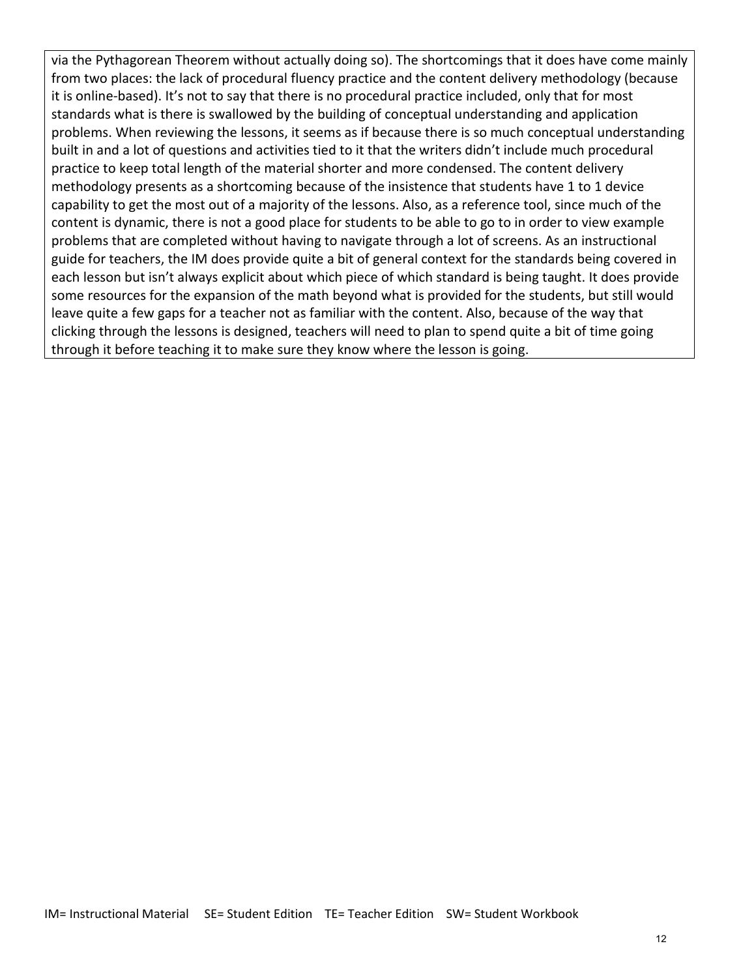via the Pythagorean Theorem without actually doing so). The shortcomings that it does have come mainly from two places: the lack of procedural fluency practice and the content delivery methodology (because it is online-based). It's not to say that there is no procedural practice included, only that for most standards what is there is swallowed by the building of conceptual understanding and application problems. When reviewing the lessons, it seems as if because there is so much conceptual understanding built in and a lot of questions and activities tied to it that the writers didn't include much procedural practice to keep total length of the material shorter and more condensed. The content delivery methodology presents as a shortcoming because of the insistence that students have 1 to 1 device capability to get the most out of a majority of the lessons. Also, as a reference tool, since much of the content is dynamic, there is not a good place for students to be able to go to in order to view example problems that are completed without having to navigate through a lot of screens. As an instructional guide for teachers, the IM does provide quite a bit of general context for the standards being covered in each lesson but isn't always explicit about which piece of which standard is being taught. It does provide some resources for the expansion of the math beyond what is provided for the students, but still would leave quite a few gaps for a teacher not as familiar with the content. Also, because of the way that clicking through the lessons is designed, teachers will need to plan to spend quite a bit of time going through it before teaching it to make sure they know where the lesson is going.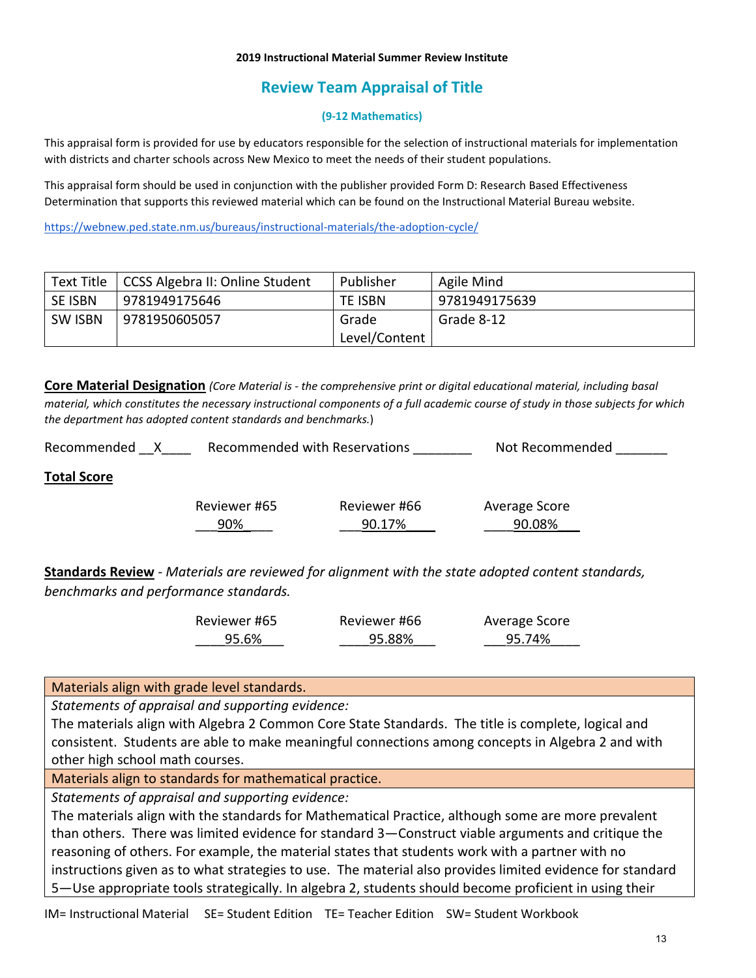#### **2019 Instructional Material Summer Review Institute**

# **Review Team Appraisal of Title**

### **(9-12 Mathematics)**

This appraisal form is provided for use by educators responsible for the selection of instructional materials for implementation with districts and charter schools across New Mexico to meet the needs of their student populations.

This appraisal form should be used in conjunction with the publisher provided Form D: Research Based Effectiveness Determination that supports this reviewed material which can be found on the Instructional Material Bureau website.

<https://webnew.ped.state.nm.us/bureaus/instructional-materials/the-adoption-cycle/>

| Text Title     | <b>CCSS Algebra II: Online Student</b> | Publisher     | Agile Mind    |
|----------------|----------------------------------------|---------------|---------------|
| SE ISBN        | 9781949175646                          | TE ISBN       | 9781949175639 |
| <b>SW ISBN</b> | 9781950605057                          | Grade         | Grade 8-12    |
|                |                                        | Level/Content |               |

**Core Material Designation** *(Core Material is - the comprehensive print or digital educational material, including basal material, which constitutes the necessary instructional components of a full academic course of study in those subjects for which the department has adopted content standards and benchmarks.*)

| Recommended        | Recommended with Reservations |                        | Not Recommended         |
|--------------------|-------------------------------|------------------------|-------------------------|
| <b>Total Score</b> |                               |                        |                         |
|                    | Reviewer #65<br>90%           | Reviewer #66<br>90.17% | Average Score<br>90.08% |

**Standards Review** - *Materials are reviewed for alignment with the state adopted content standards, benchmarks and performance standards.*

| Reviewer #65 | Reviewer #66 | Average Score |
|--------------|--------------|---------------|
| 95.6%        | 95.88%       | 95.74%        |

Materials align with grade level standards.

*Statements of appraisal and supporting evidence:*

The materials align with Algebra 2 Common Core State Standards. The title is complete, logical and consistent. Students are able to make meaningful connections among concepts in Algebra 2 and with other high school math courses.

Materials align to standards for mathematical practice.

*Statements of appraisal and supporting evidence:*

The materials align with the standards for Mathematical Practice, although some are more prevalent than others. There was limited evidence for standard 3—Construct viable arguments and critique the reasoning of others. For example, the material states that students work with a partner with no instructions given as to what strategies to use. The material also provides limited evidence for standard 5—Use appropriate tools strategically. In algebra 2, students should become proficient in using their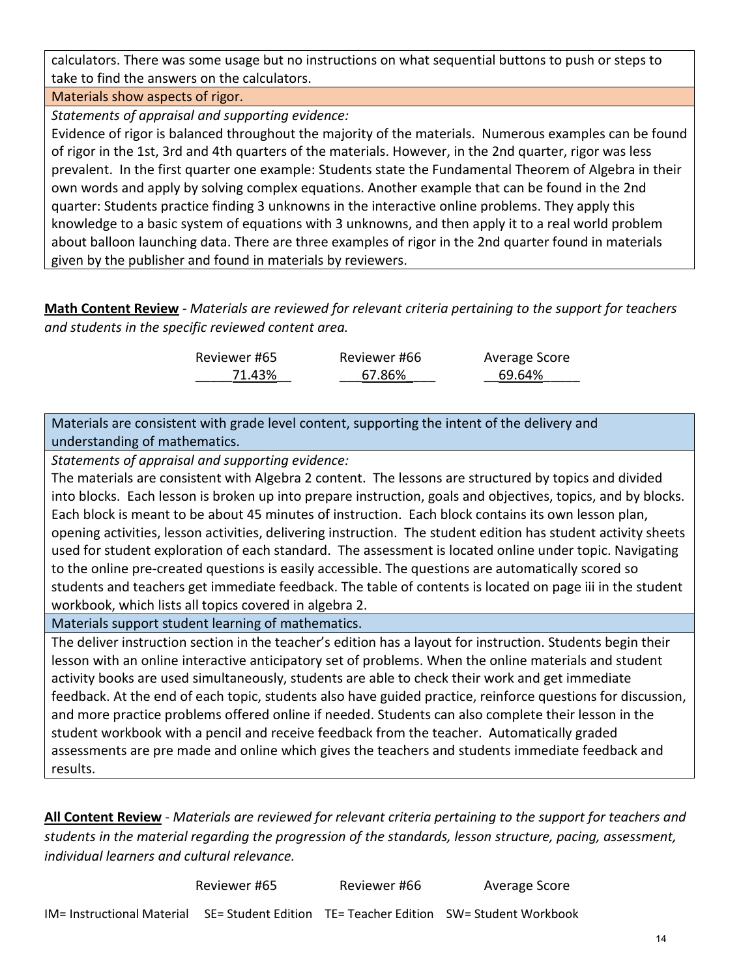calculators. There was some usage but no instructions on what sequential buttons to push or steps to take to find the answers on the calculators.

## Materials show aspects of rigor.

*Statements of appraisal and supporting evidence:*

Evidence of rigor is balanced throughout the majority of the materials. Numerous examples can be found of rigor in the 1st, 3rd and 4th quarters of the materials. However, in the 2nd quarter, rigor was less prevalent. In the first quarter one example: Students state the Fundamental Theorem of Algebra in their own words and apply by solving complex equations. Another example that can be found in the 2nd quarter: Students practice finding 3 unknowns in the interactive online problems. They apply this knowledge to a basic system of equations with 3 unknowns, and then apply it to a real world problem about balloon launching data. There are three examples of rigor in the 2nd quarter found in materials given by the publisher and found in materials by reviewers.

**Math Content Review** - *Materials are reviewed for relevant criteria pertaining to the support for teachers and students in the specific reviewed content area.*

| Reviewer #65 | Reviewer #66 | Average Score |
|--------------|--------------|---------------|
| 71.43%       | 67.86%       | 69.64%        |

Materials are consistent with grade level content, supporting the intent of the delivery and understanding of mathematics.

*Statements of appraisal and supporting evidence:*

The materials are consistent with Algebra 2 content. The lessons are structured by topics and divided into blocks. Each lesson is broken up into prepare instruction, goals and objectives, topics, and by blocks. Each block is meant to be about 45 minutes of instruction. Each block contains its own lesson plan, opening activities, lesson activities, delivering instruction. The student edition has student activity sheets used for student exploration of each standard. The assessment is located online under topic. Navigating to the online pre-created questions is easily accessible. The questions are automatically scored so students and teachers get immediate feedback. The table of contents is located on page iii in the student workbook, which lists all topics covered in algebra 2.

Materials support student learning of mathematics.

The deliver instruction section in the teacher's edition has a layout for instruction. Students begin their lesson with an online interactive anticipatory set of problems. When the online materials and student activity books are used simultaneously, students are able to check their work and get immediate feedback. At the end of each topic, students also have guided practice, reinforce questions for discussion, and more practice problems offered online if needed. Students can also complete their lesson in the student workbook with a pencil and receive feedback from the teacher. Automatically graded assessments are pre made and online which gives the teachers and students immediate feedback and results.

**All Content Review** - *Materials are reviewed for relevant criteria pertaining to the support for teachers and students in the material regarding the progression of the standards, lesson structure, pacing, assessment, individual learners and cultural relevance.*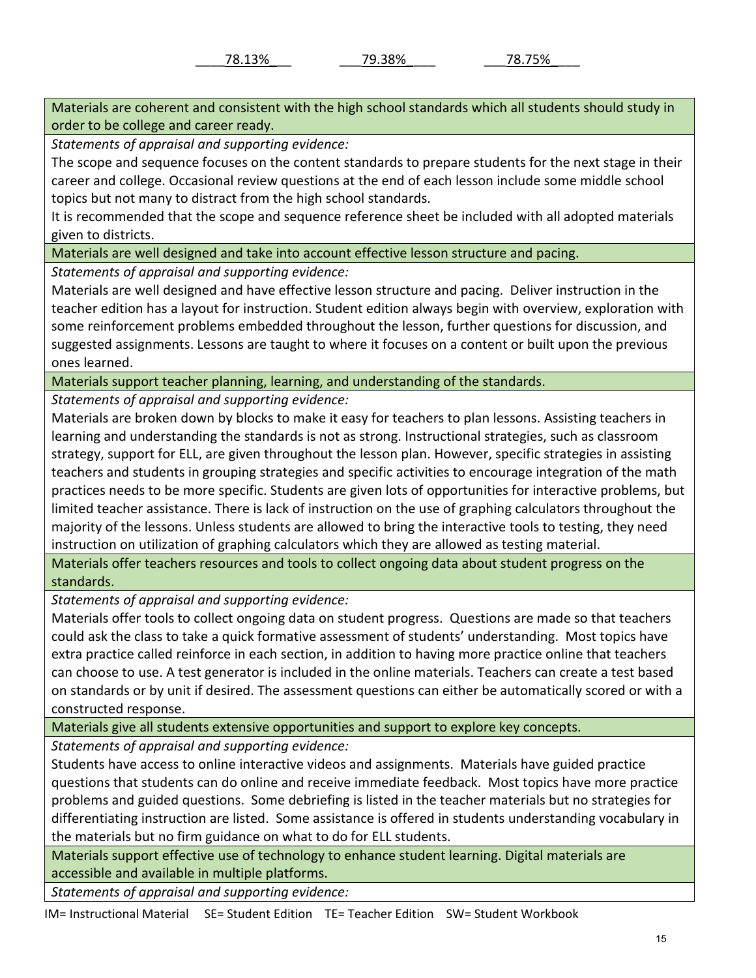Materials are coherent and consistent with the high school standards which all students should study in order to be college and career ready.

*Statements of appraisal and supporting evidence:*

The scope and sequence focuses on the content standards to prepare students for the next stage in their career and college. Occasional review questions at the end of each lesson include some middle school topics but not many to distract from the high school standards.

It is recommended that the scope and sequence reference sheet be included with all adopted materials given to districts.

Materials are well designed and take into account effective lesson structure and pacing.

*Statements of appraisal and supporting evidence:*

Materials are well designed and have effective lesson structure and pacing. Deliver instruction in the teacher edition has a layout for instruction. Student edition always begin with overview, exploration with some reinforcement problems embedded throughout the lesson, further questions for discussion, and suggested assignments. Lessons are taught to where it focuses on a content or built upon the previous ones learned.

Materials support teacher planning, learning, and understanding of the standards.

*Statements of appraisal and supporting evidence:*

Materials are broken down by blocks to make it easy for teachers to plan lessons. Assisting teachers in learning and understanding the standards is not as strong. Instructional strategies, such as classroom strategy, support for ELL, are given throughout the lesson plan. However, specific strategies in assisting teachers and students in grouping strategies and specific activities to encourage integration of the math practices needs to be more specific. Students are given lots of opportunities for interactive problems, but limited teacher assistance. There is lack of instruction on the use of graphing calculators throughout the majority of the lessons. Unless students are allowed to bring the interactive tools to testing, they need instruction on utilization of graphing calculators which they are allowed as testing material.

Materials offer teachers resources and tools to collect ongoing data about student progress on the standards.

*Statements of appraisal and supporting evidence:*

Materials offer tools to collect ongoing data on student progress. Questions are made so that teachers could ask the class to take a quick formative assessment of students' understanding. Most topics have extra practice called reinforce in each section, in addition to having more practice online that teachers can choose to use. A test generator is included in the online materials. Teachers can create a test based on standards or by unit if desired. The assessment questions can either be automatically scored or with a constructed response.

Materials give all students extensive opportunities and support to explore key concepts.

*Statements of appraisal and supporting evidence:*

Students have access to online interactive videos and assignments. Materials have guided practice questions that students can do online and receive immediate feedback. Most topics have more practice problems and guided questions. Some debriefing is listed in the teacher materials but no strategies for differentiating instruction are listed. Some assistance is offered in students understanding vocabulary in the materials but no firm guidance on what to do for ELL students.

Materials support effective use of technology to enhance student learning. Digital materials are accessible and available in multiple platforms.

*Statements of appraisal and supporting evidence:*